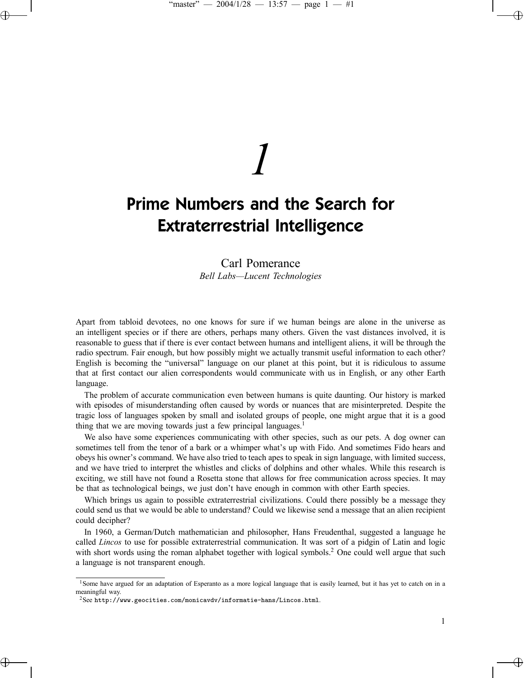# *1*

# Prime Numbers and the Search for Extraterrestrial Intelligence

## Carl Pomerance *Bell Labs—Lucent Technologies*

Apart from tabloid devotees, no one knows for sure if we human beings are alone in the universe as an intelligent species or if there are others, perhaps many others. Given the vast distances involved, it is reasonable to guess that if there is ever contact between humans and intelligent aliens, it will be through the radio spectrum. Fair enough, but how possibly might we actually transmit useful information to each other? English is becoming the "universal" language on our planet at this point, but it is ridiculous to assume that at first contact our alien correspondents would communicate with us in English, or any other Earth language.

The problem of accurate communication even between humans is quite daunting. Our history is marked with episodes of misunderstanding often caused by words or nuances that are misinterpreted. Despite the tragic loss of languages spoken by small and isolated groups of people, one might argue that it is a good thing that we are moving towards just a few principal languages.<sup>1</sup>

We also have some experiences communicating with other species, such as our pets. A dog owner can sometimes tell from the tenor of a bark or a whimper what's up with Fido. And sometimes Fido hears and obeys his owner's command. We have also tried to teach apes to speak in sign language, with limited success, and we have tried to interpret the whistles and clicks of dolphins and other whales. While this research is exciting, we still have not found a Rosetta stone that allows for free communication across species. It may be that as technological beings, we just don't have enough in common with other Earth species.

Which brings us again to possible extraterrestrial civilizations. Could there possibly be a message they could send us that we would be able to understand? Could we likewise send a message that an alien recipient could decipher?

In 1960, a German/Dutch mathematician and philosopher, Hans Freudenthal, suggested a language he called *Lincos* to use for possible extraterrestrial communication. It was sort of a pidgin of Latin and logic with short words using the roman alphabet together with logical symbols.<sup>2</sup> One could well argue that such a language is not transparent enough.

<sup>&</sup>lt;sup>1</sup>Some have argued for an adaptation of Esperanto as a more logical language that is easily learned, but it has yet to catch on in a meaningful way.

 $2$ See http://www.geocities.com/monicavdv/informatie-hans/Lincos.html.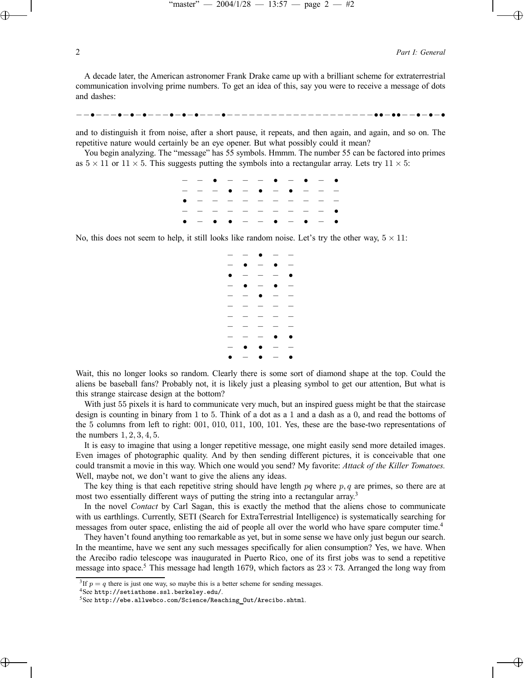2 *Part I: General*

A decade later, the American astronomer Frank Drake came up with a brilliant scheme for extraterrestrial communication involving prime numbers. To get an idea of this, say you were to receive a message of dots and dashes:

−−•−−−•−•−•−−−•−•−•−−−•−−−−−−−−−−−−−−−−−−−−••−••−−•−•−•

and to distinguish it from noise, after a short pause, it repeats, and then again, and again, and so on. The repetitive nature would certainly be an eye opener. But what possibly could it mean?

You begin analyzing. The "message" has 55 symbols. Hmmm. The number 55 can be factored into primes as  $5 \times 11$  or  $11 \times 5$ . This suggests putting the symbols into a rectangular array. Lets try  $11 \times 5$ :

|  |  |  |  | $-  \bullet$ - - - $\bullet$ - $\bullet$ - $\bullet$ |  |
|--|--|--|--|------------------------------------------------------|--|
|  |  |  |  | $-$ - - $\bullet$ - $\bullet$ - $\bullet$ - - -      |  |
|  |  |  |  | $\bullet$ - - - - - - - - - -                        |  |
|  |  |  |  | $-$ - - - - - - - - - - 0                            |  |
|  |  |  |  | $0 - 0 0 - - 0 - 0 - 0$                              |  |
|  |  |  |  |                                                      |  |

No, this does not seem to help, it still looks like random noise. Let's try the other way,  $5 \times 11$ :

|                                |            | $  \bullet$ $-$                                 |                                                                                                                                                                                                                                                                                                                                                                                                                                               |                          |
|--------------------------------|------------|-------------------------------------------------|-----------------------------------------------------------------------------------------------------------------------------------------------------------------------------------------------------------------------------------------------------------------------------------------------------------------------------------------------------------------------------------------------------------------------------------------------|--------------------------|
| $\overline{\phantom{a}}$       | $\bullet$  | $ \bullet$                                      |                                                                                                                                                                                                                                                                                                                                                                                                                                               | $\overline{\phantom{a}}$ |
| $\bullet$                      |            | $\begin{array}{cccc} - & - & - & - \end{array}$ |                                                                                                                                                                                                                                                                                                                                                                                                                                               | $\bullet$                |
| $\overline{\phantom{m}}$       |            | $\bullet$ $-$                                   | $\bullet$                                                                                                                                                                                                                                                                                                                                                                                                                                     | $\hspace{0.1mm}$         |
| $\qquad \qquad \longleftarrow$ |            | $ \bullet$ $ -$                                 |                                                                                                                                                                                                                                                                                                                                                                                                                                               |                          |
| $\equiv$                       |            |                                                 |                                                                                                                                                                                                                                                                                                                                                                                                                                               | $\sim$                   |
|                                | $ -$       | $\qquad \qquad -$                               |                                                                                                                                                                                                                                                                                                                                                                                                                                               | $\overline{\phantom{0}}$ |
| $\overline{\phantom{0}}$       |            | $  -$                                           |                                                                                                                                                                                                                                                                                                                                                                                                                                               |                          |
|                                |            | $\sim$ $-$                                      | 0                                                                                                                                                                                                                                                                                                                                                                                                                                             | $\bullet$                |
| $\overline{\phantom{m}}$       |            | $\bullet$                                       | $\frac{1}{2} \frac{1}{2} \left( \frac{1}{2} \right) \frac{1}{2} \left( \frac{1}{2} \right) \frac{1}{2} \left( \frac{1}{2} \right) \frac{1}{2} \left( \frac{1}{2} \right) \frac{1}{2} \left( \frac{1}{2} \right) \frac{1}{2} \left( \frac{1}{2} \right) \frac{1}{2} \left( \frac{1}{2} \right) \frac{1}{2} \left( \frac{1}{2} \right) \frac{1}{2} \left( \frac{1}{2} \right) \frac{1}{2} \left( \frac{1}{2} \right) \frac{1}{2} \left( \frac{$ |                          |
| $\bullet$                      | $ \bullet$ |                                                 | $\sim$ $-$                                                                                                                                                                                                                                                                                                                                                                                                                                    | $\bullet$                |

Wait, this no longer looks so random. Clearly there is some sort of diamond shape at the top. Could the aliens be baseball fans? Probably not, it is likely just a pleasing symbol to get our attention, But what is this strange staircase design at the bottom?

With just 55 pixels it is hard to communicate very much, but an inspired guess might be that the staircase design is counting in binary from 1 to 5. Think of a dot as a 1 and a dash as a 0, and read the bottoms of the 5 columns from left to right: 001, 010, 011, 100, 101. Yes, these are the base-two representations of the numbers 1, 2, 3, 4, 5.

It is easy to imagine that using a longer repetitive message, one might easily send more detailed images. Even images of photographic quality. And by then sending different pictures, it is conceivable that one could transmit a movie in this way. Which one would you send? My favorite: *Attack of the Killer Tomatoes.* Well, maybe not, we don't want to give the aliens any ideas.

The key thing is that each repetitive string should have length  $pq$  where  $p, q$  are primes, so there are at most two essentially different ways of putting the string into a rectangular array.<sup>3</sup>

In the novel *Contact* by Carl Sagan, this is exactly the method that the aliens chose to communicate with us earthlings. Currently, SETI (Search for ExtraTerrestrial Intelligence) is systematically searching for messages from outer space, enlisting the aid of people all over the world who have spare computer time.<sup>4</sup>

They haven't found anything too remarkable as yet, but in some sense we have only just begun our search. In the meantime, have we sent any such messages specifically for alien consumption? Yes, we have. When the Arecibo radio telescope was inaugurated in Puerto Rico, one of its first jobs was to send a repetitive message into space.<sup>5</sup> This message had length 1679, which factors as  $23 \times 73$ . Arranged the long way from

<sup>&</sup>lt;sup>3</sup>If  $p = q$  there is just one way, so maybe this is a better scheme for sending messages.

 $^4$ See http://setiathome.ssl.berkeley.edu/.<br> $^5$ See http://ebe.allwebco.com/Science/Reaching Out/Arecibo.shtml.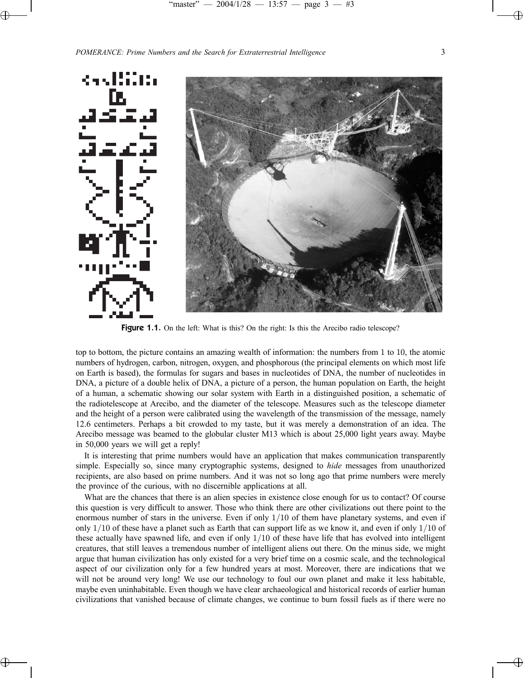### *POMERANCE: Prime Numbers and the Search for Extraterrestrial Intelligence* 3



Figure 1.1. On the left: What is this? On the right: Is this the Arecibo radio telescope?

top to bottom, the picture contains an amazing wealth of information: the numbers from 1 to 10, the atomic numbers of hydrogen, carbon, nitrogen, oxygen, and phosphorous (the principal elements on which most life on Earth is based), the formulas for sugars and bases in nucleotides of DNA, the number of nucleotides in DNA, a picture of a double helix of DNA, a picture of a person, the human population on Earth, the height of a human, a schematic showing our solar system with Earth in a distinguished position, a schematic of the radiotelescope at Arecibo, and the diameter of the telescope. Measures such as the telescope diameter and the height of a person were calibrated using the wavelength of the transmission of the message, namely 12.6 centimeters. Perhaps a bit crowded to my taste, but it was merely a demonstration of an idea. The Arecibo message was beamed to the globular cluster M13 which is about 25,000 light years away. Maybe in 50,000 years we will get a reply!

It is interesting that prime numbers would have an application that makes communication transparently simple. Especially so, since many cryptographic systems, designed to *hide* messages from unauthorized recipients, are also based on prime numbers. And it was not so long ago that prime numbers were merely the province of the curious, with no discernible applications at all.

What are the chances that there is an alien species in existence close enough for us to contact? Of course this question is very difficult to answer. Those who think there are other civilizations out there point to the enormous number of stars in the universe. Even if only 1/10 of them have planetary systems, and even if only  $1/10$  of these have a planet such as Earth that can support life as we know it, and even if only  $1/10$  of these actually have spawned life, and even if only 1/10 of these have life that has evolved into intelligent creatures, that still leaves a tremendous number of intelligent aliens out there. On the minus side, we might argue that human civilization has only existed for a very brief time on a cosmic scale, and the technological aspect of our civilization only for a few hundred years at most. Moreover, there are indications that we will not be around very long! We use our technology to foul our own planet and make it less habitable, maybe even uninhabitable. Even though we have clear archaeological and historical records of earlier human civilizations that vanished because of climate changes, we continue to burn fossil fuels as if there were no